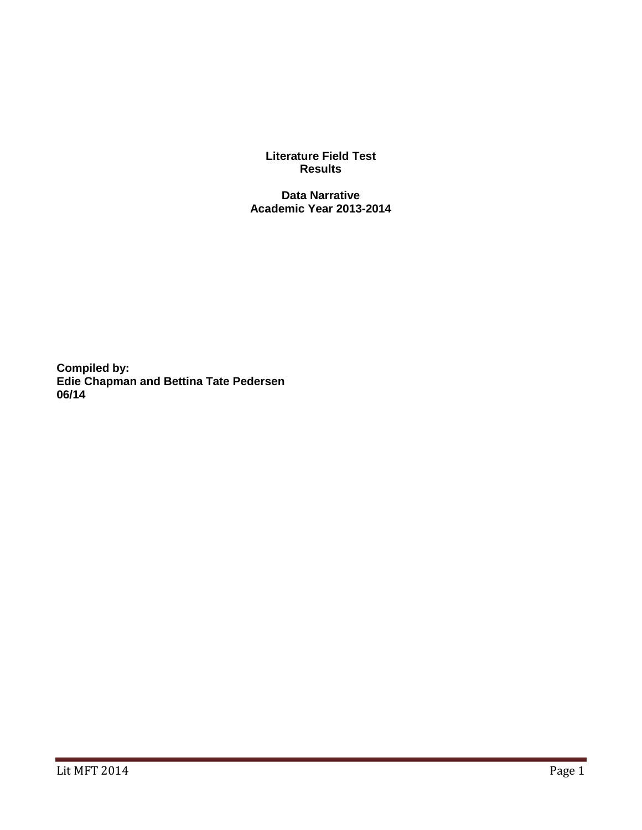**Literature Field Test Results**

**Data Narrative Academic Year 2013-2014**

**Compiled by: Edie Chapman and Bettina Tate Pedersen 06/14**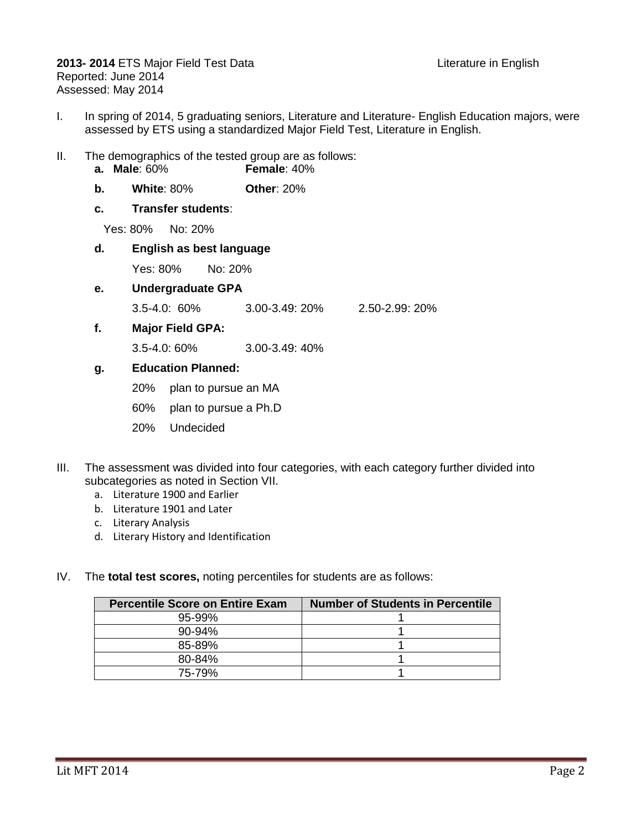**2013-2014** ETS Major Field Test Data **Literature in English** Reported: June 2014 Assessed: May 2014

- I. In spring of 2014, 5 graduating seniors, Literature and Literature- English Education majors, were assessed by ETS using a standardized Major Field Test, Literature in English.
- II. The demographics of the tested group are as follows: **a. Male**: 60% **Female**: 40%
	- **b. White**: 80% **Other**: 20%
	- **c. Transfer students**:

Yes: 80% No: 20%

#### **d. English as best language**

Yes: 80% No: 20%

### **e. Undergraduate GPA**

- 3.5-4.0: 60% 3.00-3.49: 20% 2.50-2.99: 20%
- **f. Major Field GPA:**

3.5-4.0: 60% 3.00-3.49: 40%

### **g. Education Planned:**

- 20% plan to pursue an MA
- 60% plan to pursue a Ph.D
- 20% Undecided
- III. The assessment was divided into four categories, with each category further divided into subcategories as noted in Section VII.
	- a. Literature 1900 and Earlier
	- b. Literature 1901 and Later
	- c. Literary Analysis
	- d. Literary History and Identification
- IV. The **total test scores,** noting percentiles for students are as follows:

| <b>Percentile Score on Entire Exam</b> | <b>Number of Students in Percentile</b> |
|----------------------------------------|-----------------------------------------|
| $95-99\%$                              |                                         |
| $90 - 94%$                             |                                         |
| 85-89%                                 |                                         |
| 80-84%                                 |                                         |
| 75-79%                                 |                                         |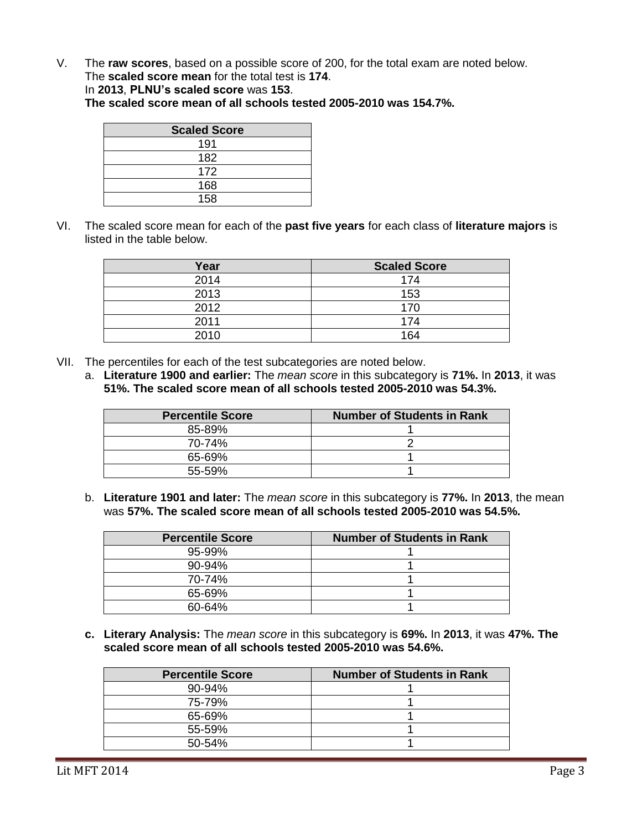V. The **raw scores**, based on a possible score of 200, for the total exam are noted below. The **scaled score mean** for the total test is **174**.

In **2013**, **PLNU's scaled score** was **153**.

**The scaled score mean of all schools tested 2005-2010 was 154.7%.**

| <b>Scaled Score</b> |  |  |  |  |
|---------------------|--|--|--|--|
| 191                 |  |  |  |  |
| 182                 |  |  |  |  |
| 172                 |  |  |  |  |
| 168                 |  |  |  |  |
| 158                 |  |  |  |  |

VI. The scaled score mean for each of the **past five years** for each class of **literature majors** is listed in the table below.

| Year | <b>Scaled Score</b> |
|------|---------------------|
| 2014 | 174                 |
| 2013 | 153                 |
| 2012 | 170                 |
| 2011 | 174                 |
| 2010 | 164                 |

- VII. The percentiles for each of the test subcategories are noted below.
	- a. **Literature 1900 and earlier:** The *mean score* in this subcategory is **71%.** In **2013**, it was **51%. The scaled score mean of all schools tested 2005-2010 was 54.3%.**

| <b>Percentile Score</b> | <b>Number of Students in Rank</b> |  |  |  |
|-------------------------|-----------------------------------|--|--|--|
| 85-89%                  |                                   |  |  |  |
| 70-74%                  |                                   |  |  |  |
| 65-69%                  |                                   |  |  |  |
| 55-59%                  |                                   |  |  |  |

b. **Literature 1901 and later:** The *mean score* in this subcategory is **77%.** In **2013**, the mean was **57%. The scaled score mean of all schools tested 2005-2010 was 54.5%.**

| <b>Percentile Score</b> | <b>Number of Students in Rank</b> |  |  |  |  |
|-------------------------|-----------------------------------|--|--|--|--|
| $95 - 99%$              |                                   |  |  |  |  |
| 90-94%                  |                                   |  |  |  |  |
| 70-74%                  |                                   |  |  |  |  |
| 65-69%                  |                                   |  |  |  |  |
| $60 - 64%$              |                                   |  |  |  |  |

**c. Literary Analysis:** The *mean score* in this subcategory is **69%.** In **2013**, it was **47%. The scaled score mean of all schools tested 2005-2010 was 54.6%.**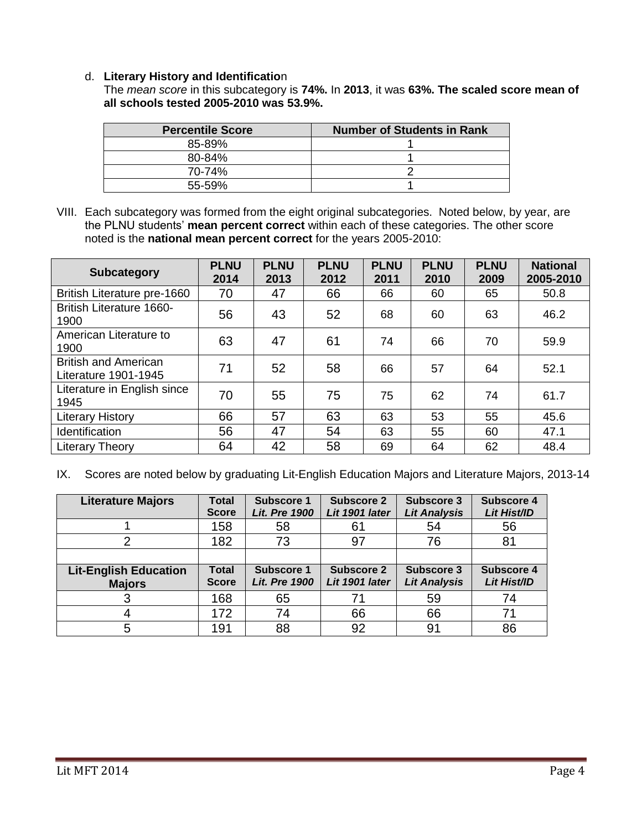## d. **Literary History and Identificatio**n

The *mean score* in this subcategory is **74%.** In **2013**, it was **63%. The scaled score mean of all schools tested 2005-2010 was 53.9%.**

| <b>Percentile Score</b> | <b>Number of Students in Rank</b> |  |  |  |  |
|-------------------------|-----------------------------------|--|--|--|--|
| 85-89%                  |                                   |  |  |  |  |
| $80 - 84%$              |                                   |  |  |  |  |
| 70-74%                  |                                   |  |  |  |  |
| $55 - 59%$              |                                   |  |  |  |  |

VIII. Each subcategory was formed from the eight original subcategories. Noted below, by year, are the PLNU students' **mean percent correct** within each of these categories. The other score noted is the **national mean percent correct** for the years 2005-2010:

| <b>Subcategory</b>                                  | <b>PLNU</b><br>2014 | <b>PLNU</b><br>2013 | <b>PLNU</b><br>2012 | <b>PLNU</b><br>2011 | <b>PLNU</b><br>2010 | <b>PLNU</b><br>2009 | <b>National</b><br>2005-2010 |
|-----------------------------------------------------|---------------------|---------------------|---------------------|---------------------|---------------------|---------------------|------------------------------|
| British Literature pre-1660                         | 70                  | 47                  | 66                  | 66                  | 60                  | 65                  | 50.8                         |
| <b>British Literature 1660-</b><br>1900             | 56                  | 43                  | 52                  | 68                  | 60                  | 63                  | 46.2                         |
| American Literature to<br>1900                      | 63                  | 47                  | 61                  | 74                  | 66                  | 70                  | 59.9                         |
| <b>British and American</b><br>Literature 1901-1945 | 71                  | 52                  | 58                  | 66                  | 57                  | 64                  | 52.1                         |
| Literature in English since<br>1945                 | 70                  | 55                  | 75                  | 75                  | 62                  | 74                  | 61.7                         |
| <b>Literary History</b>                             | 66                  | 57                  | 63                  | 63                  | 53                  | 55                  | 45.6                         |
| Identification                                      | 56                  | 47                  | 54                  | 63                  | 55                  | 60                  | 47.1                         |
| <b>Literary Theory</b>                              | 64                  | 42                  | 58                  | 69                  | 64                  | 62                  | 48.4                         |

IX. Scores are noted below by graduating Lit-English Education Majors and Literature Majors, 2013-14

| <b>Literature Majors</b>                      | <b>Total</b><br><b>Score</b> | <b>Subscore 1</b><br><b>Lit. Pre 1900</b> | <b>Subscore 2</b><br>Lit 1901 later | <b>Subscore 3</b><br><b>Lit Analysis</b> | <b>Subscore 4</b><br>Lit Hist/ID |
|-----------------------------------------------|------------------------------|-------------------------------------------|-------------------------------------|------------------------------------------|----------------------------------|
|                                               | 158                          | 58                                        | 61                                  | 54                                       | 56                               |
| 2                                             | 182                          | 73                                        | 97                                  | 76                                       | 81                               |
|                                               |                              |                                           |                                     |                                          |                                  |
| <b>Lit-English Education</b><br><b>Majors</b> | <b>Total</b><br><b>Score</b> | <b>Subscore 1</b><br><b>Lit. Pre 1900</b> | <b>Subscore 2</b><br>Lit 1901 later | <b>Subscore 3</b><br><b>Lit Analysis</b> | <b>Subscore 4</b><br>Lit Hist/ID |
| 3                                             | 168                          | 65                                        | 71                                  | 59                                       | 74                               |
| 4                                             | 172                          | 74                                        | 66                                  | 66                                       | 71                               |
| 5                                             | 191                          | 88                                        | 92                                  | 91                                       | 86                               |